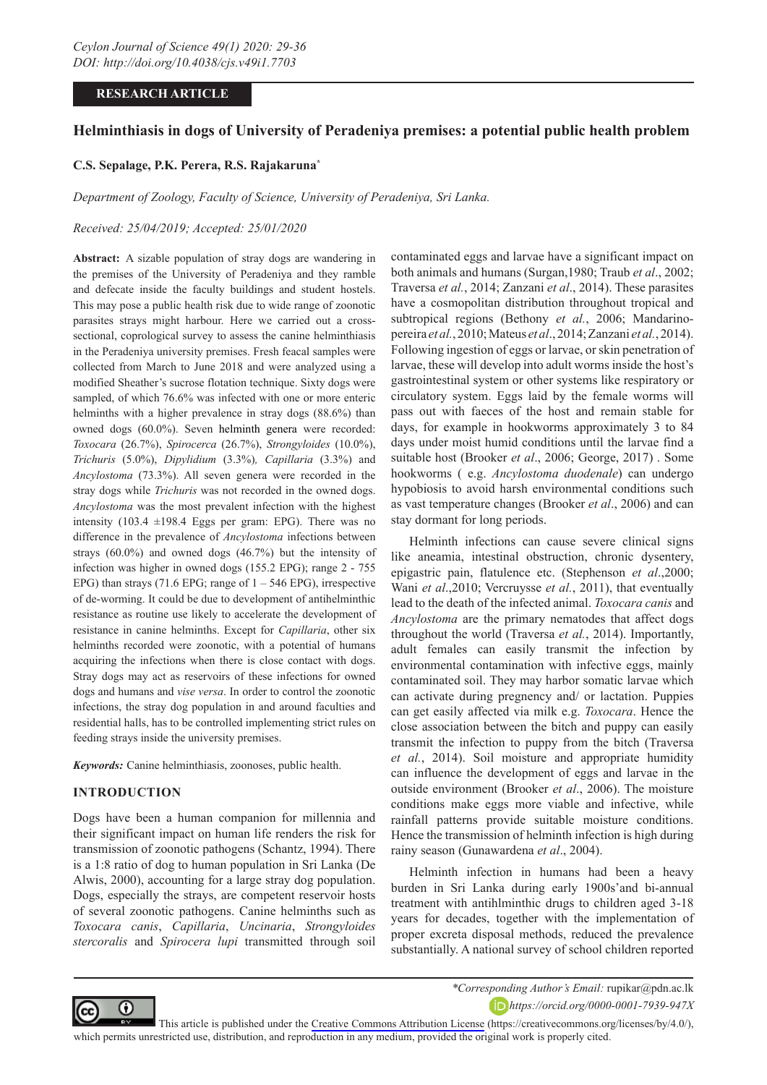# **RESEARCH ARTICLE**

# **Helminthiasis in dogs of University of Peradeniya premises: a potential public health problem**

### **C.S. Sepalage, P.K. Perera, R.S. Rajakaruna\***

*Department of Zoology, Faculty of Science, University of Peradeniya, Sri Lanka.*

#### *Received: 25/04/2019; Accepted: 25/01/2020*

**Abstract:** A sizable population of stray dogs are wandering in the premises of the University of Peradeniya and they ramble and defecate inside the faculty buildings and student hostels. This may pose a public health risk due to wide range of zoonotic parasites strays might harbour. Here we carried out a crosssectional, coprological survey to assess the canine helminthiasis in the Peradeniya university premises. Fresh feacal samples were collected from March to June 2018 and were analyzed using a modified Sheather's sucrose flotation technique. Sixty dogs were sampled, of which 76.6% was infected with one or more enteric helminths with a higher prevalence in stray dogs (88.6%) than owned dogs (60.0%). Seven helminth genera were recorded: *Toxocara* (26.7%), *Spirocerca* (26.7%), *Strongyloides* (10.0%), *Trichuris* (5.0%), *Dipylidium* (3.3%)*, Capillaria* (3.3%) and *Ancylostoma* (73.3%). All seven genera were recorded in the stray dogs while *Trichuris* was not recorded in the owned dogs. *Ancylostoma* was the most prevalent infection with the highest intensity (103.4  $\pm$ 198.4 Eggs per gram: EPG). There was no difference in the prevalence of *Ancylostoma* infections between strays (60.0%) and owned dogs (46.7%) but the intensity of infection was higher in owned dogs (155.2 EPG); range 2 - 755 EPG) than strays (71.6 EPG; range of  $1 - 546$  EPG), irrespective of de-worming. It could be due to development of antihelminthic resistance as routine use likely to accelerate the development of resistance in canine helminths. Except for *Capillaria*, other six helminths recorded were zoonotic, with a potential of humans acquiring the infections when there is close contact with dogs. Stray dogs may act as reservoirs of these infections for owned dogs and humans and *vise versa*. In order to control the zoonotic infections, the stray dog population in and around faculties and residential halls, has to be controlled implementing strict rules on feeding strays inside the university premises.

*Keywords:* Canine helminthiasis, zoonoses, public health.

#### **INTRODUCTION**

Dogs have been a human companion for millennia and their significant impact on human life renders the risk for transmission of zoonotic pathogens (Schantz, 1994). There is a 1:8 ratio of dog to human population in Sri Lanka (De Alwis, 2000), accounting for a large stray dog population. Dogs, especially the strays, are competent reservoir hosts of several zoonotic pathogens. Canine helminths such as *Toxocara canis*, *Capillaria*, *Uncinaria*, *Strongyloides stercoralis* and *Spirocera lupi* transmitted through soil

contaminated eggs and larvae have a significant impact on both animals and humans (Surgan,1980; Traub *et al*., 2002; Traversa *et al.*, 2014; Zanzani *et al*., 2014). These parasites have a cosmopolitan distribution throughout tropical and subtropical regions (Bethony *et al.*, 2006; Mandarinopereira *et al.*, 2010; Mateus *et al*., 2014; Zanzani *et al.*, 2014). Following ingestion of eggs or larvae, or skin penetration of larvae, these will develop into adult worms inside the host's gastrointestinal system or other systems like respiratory or circulatory system. Eggs laid by the female worms will pass out with faeces of the host and remain stable for days, for example in hookworms approximately 3 to 84 days under moist humid conditions until the larvae find a suitable host (Brooker *et al*., 2006; George, 2017) . Some hookworms ( e.g. *Ancylostoma duodenale*) can undergo hypobiosis to avoid harsh environmental conditions such as vast temperature changes (Brooker *et al*., 2006) and can stay dormant for long periods.

Helminth infections can cause severe clinical signs like aneamia, intestinal obstruction, chronic dysentery, epigastric pain, flatulence etc. (Stephenson *et al*.,2000; Wani *et al*.,2010; Vercruysse *et al.*, 2011), that eventually lead to the death of the infected animal. *Toxocara canis* and *Ancylostoma* are the primary nematodes that affect dogs throughout the world (Traversa *et al.*, 2014). Importantly, adult females can easily transmit the infection by environmental contamination with infective eggs, mainly contaminated soil. They may harbor somatic larvae which can activate during pregnency and/ or lactation. Puppies can get easily affected via milk e.g. *Toxocara*. Hence the close association between the bitch and puppy can easily transmit the infection to puppy from the bitch (Traversa *et al.*, 2014). Soil moisture and appropriate humidity can influence the development of eggs and larvae in the outside environment (Brooker *et al*., 2006). The moisture conditions make eggs more viable and infective, while rainfall patterns provide suitable moisture conditions. Hence the transmission of helminth infection is high during rainy season (Gunawardena *et al*., 2004).

Helminth infection in humans had been a heavy burden in Sri Lanka during early 1900s'and bi-annual treatment with antihlminthic drugs to children aged 3-18 years for decades, together with the implementation of proper excreta disposal methods, reduced the prevalence substantially. A national survey of school children reported



*\*Corresponding Author's Email:* rupikar@pdn.ac.lk *https://orcid.org/0000-0001-7939-947X*

This article is published under the [Creative Commons Attribution License](https://creativecommons.org/licenses/by/4.0/) (https://creativecommons.org/licenses/by/4.0/), which permits unrestricted use, distribution, and reproduction in any medium, provided the original work is properly cited.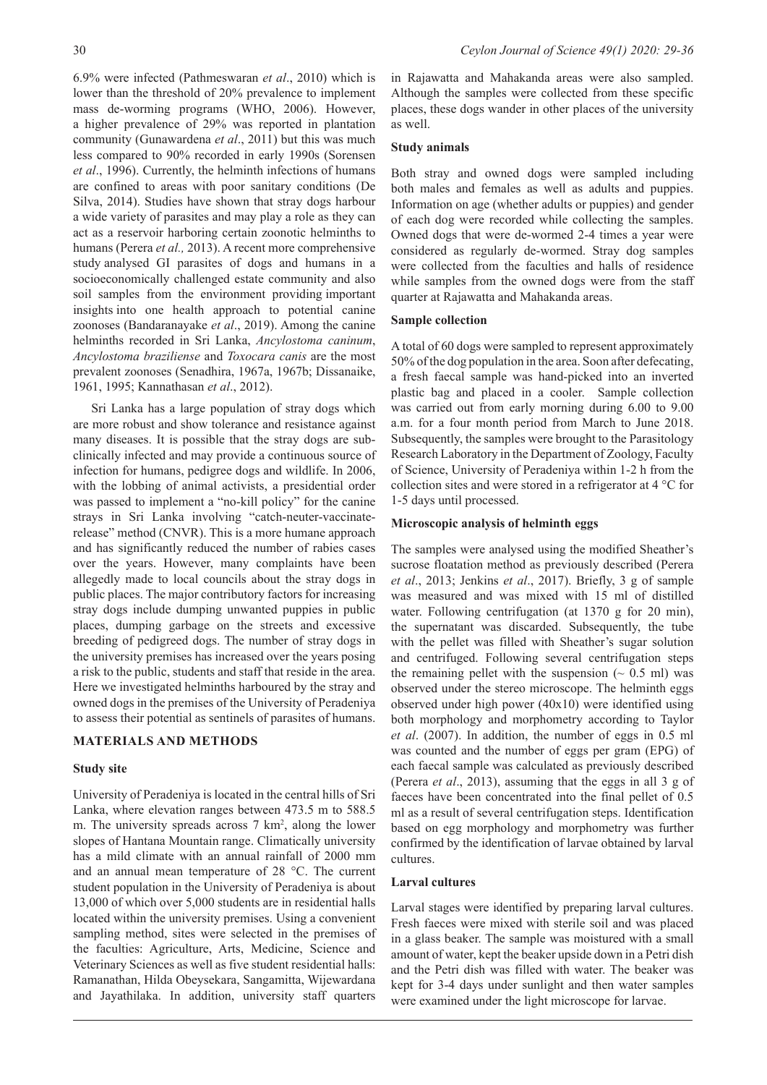6.9% were infected (Pathmeswaran *et al*., 2010) which is lower than the threshold of 20% prevalence to implement mass de-worming programs (WHO, 2006). However, a higher prevalence of 29% was reported in plantation community (Gunawardena *et al*., 2011) but this was much less compared to 90% recorded in early 1990s (Sorensen *et al*., 1996). Currently, the helminth infections of humans are confined to areas with poor sanitary conditions (De Silva, 2014). Studies have shown that stray dogs harbour a wide variety of parasites and may play a role as they can act as a reservoir harboring certain zoonotic helminths to humans (Perera *et al.,* 2013). A recent more comprehensive study analysed GI parasites of dogs and humans in a socioeconomically challenged estate community and also soil samples from the environment providing important insights into one health approach to potential canine zoonoses (Bandaranayake *et al*., 2019). Among the canine helminths recorded in Sri Lanka, *Ancylostoma caninum*, *Ancylostoma braziliense* and *Toxocara canis* are the most prevalent zoonoses (Senadhira, 1967a, 1967b; Dissanaike, 1961, 1995; Kannathasan *et al*., 2012).

Sri Lanka has a large population of stray dogs which are more robust and show tolerance and resistance against many diseases. It is possible that the stray dogs are subclinically infected and may provide a continuous source of infection for humans, pedigree dogs and wildlife. In 2006, with the lobbing of animal activists, a presidential order was passed to implement a "no-kill policy" for the canine strays in Sri Lanka involving "catch-neuter-vaccinaterelease" method (CNVR). This is a more humane approach and has significantly reduced the number of rabies cases over the years. However, many complaints have been allegedly made to local councils about the stray dogs in public places. The major contributory factors for increasing stray dogs include dumping unwanted puppies in public places, dumping garbage on the streets and excessive breeding of pedigreed dogs. The number of stray dogs in the university premises has increased over the years posing a risk to the public, students and staff that reside in the area. Here we investigated helminths harboured by the stray and owned dogs in the premises of the University of Peradeniya to assess their potential as sentinels of parasites of humans.

## **MATERIALS AND METHODS**

## **Study site**

University of Peradeniya is located in the central hills of Sri Lanka, where elevation ranges between 473.5 m to 588.5 m. The university spreads across  $7 \text{ km}^2$ , along the lower slopes of Hantana Mountain range. Climatically university has a mild climate with an annual rainfall of 2000 mm and an annual mean temperature of 28 °C. The current student population in the University of Peradeniya is about 13,000 of which over 5,000 students are in residential halls located within the university premises. Using a convenient sampling method, sites were selected in the premises of the faculties: Agriculture, Arts, Medicine, Science and Veterinary Sciences as well as five student residential halls: Ramanathan, Hilda Obeysekara, Sangamitta, Wijewardana and Jayathilaka. In addition, university staff quarters

in Rajawatta and Mahakanda areas were also sampled. Although the samples were collected from these specific places, these dogs wander in other places of the university as well.

### **Study animals**

Both stray and owned dogs were sampled including both males and females as well as adults and puppies. Information on age (whether adults or puppies) and gender of each dog were recorded while collecting the samples. Owned dogs that were de-wormed 2-4 times a year were considered as regularly de-wormed. Stray dog samples were collected from the faculties and halls of residence while samples from the owned dogs were from the staff quarter at Rajawatta and Mahakanda areas.

### **Sample collection**

A total of 60 dogs were sampled to represent approximately 50% of the dog population in the area. Soon after defecating, a fresh faecal sample was hand-picked into an inverted plastic bag and placed in a cooler. Sample collection was carried out from early morning during 6.00 to 9.00 a.m. for a four month period from March to June 2018. Subsequently, the samples were brought to the Parasitology Research Laboratory in the Department of Zoology, Faculty of Science, University of Peradeniya within 1-2 h from the collection sites and were stored in a refrigerator at 4 °C for 1-5 days until processed.

### **Microscopic analysis of helminth eggs**

The samples were analysed using the modified Sheather's sucrose floatation method as previously described (Perera *et al*., 2013; Jenkins *et al*., 2017). Briefly, 3 g of sample was measured and was mixed with 15 ml of distilled water. Following centrifugation (at 1370 g for 20 min), the supernatant was discarded. Subsequently, the tube with the pellet was filled with Sheather's sugar solution and centrifuged. Following several centrifugation steps the remaining pellet with the suspension  $($   $\sim$  0.5 ml) was observed under the stereo microscope. The helminth eggs observed under high power (40x10) were identified using both morphology and morphometry according to Taylor *et al*. (2007). In addition, the number of eggs in 0.5 ml was counted and the number of eggs per gram (EPG) of each faecal sample was calculated as previously described (Perera *et al*., 2013), assuming that the eggs in all 3 g of faeces have been concentrated into the final pellet of 0.5 ml as a result of several centrifugation steps. Identification based on egg morphology and morphometry was further confirmed by the identification of larvae obtained by larval cultures.

#### **Larval cultures**

Larval stages were identified by preparing larval cultures. Fresh faeces were mixed with sterile soil and was placed in a glass beaker. The sample was moistured with a small amount of water, kept the beaker upside down in a Petri dish and the Petri dish was filled with water. The beaker was kept for 3-4 days under sunlight and then water samples were examined under the light microscope for larvae.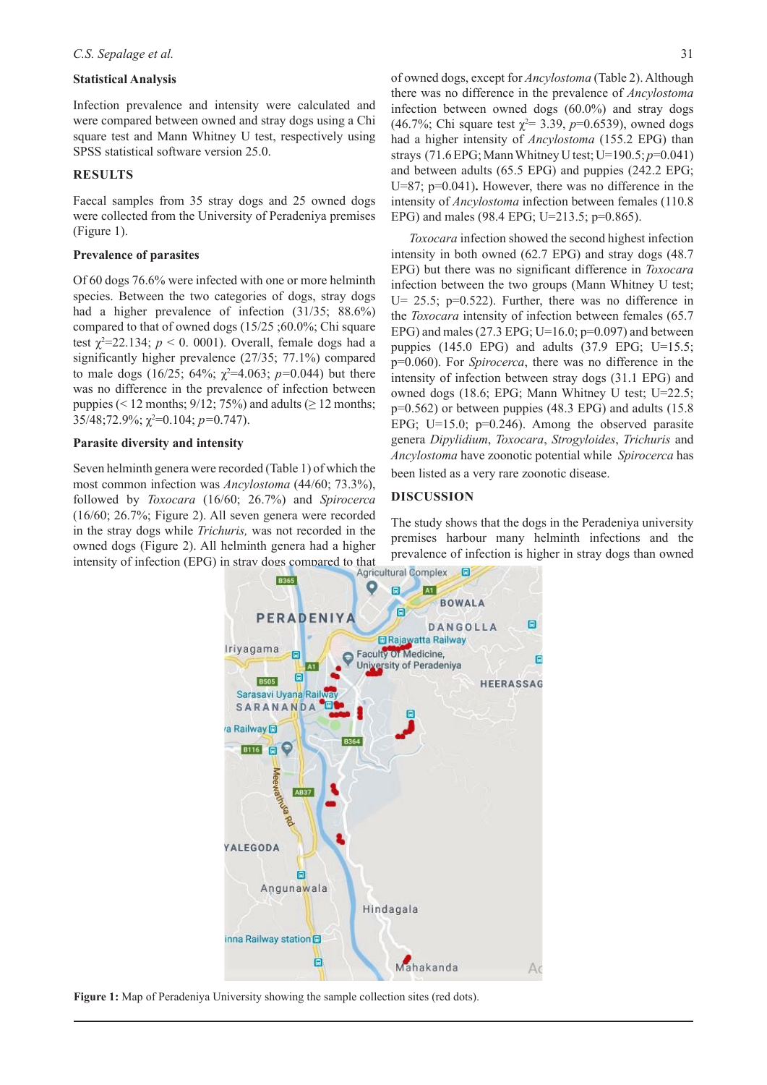#### **Statistical Analysis**

Infection prevalence and intensity were calculated and were compared between owned and stray dogs using a Chi square test and Mann Whitney U test, respectively using SPSS statistical software version 25.0.

#### **RESULTS**

Faecal samples from 35 stray dogs and 25 owned dogs were collected from the University of Peradeniya premises (Figure 1).

#### **Prevalence of parasites**

Of 60 dogs 76.6% were infected with one or more helminth species. Between the two categories of dogs, stray dogs had a higher prevalence of infection (31/35; 88.6%) compared to that of owned dogs (15/25 ;60.0%; Chi square test  $\chi^2$ =22.134;  $p < 0$ . 0001). Overall, female dogs had a significantly higher prevalence (27/35; 77.1%) compared to male dogs  $(16/25; 64\%; \chi^2=4.063; p=0.044)$  but there was no difference in the prevalence of infection between puppies (< 12 months;  $9/12$ ;  $75\%$ ) and adults ( $\geq 12$  months; 35/48;72.9%;  $\chi^2$ =0.104; *p*=0.747).

#### **Parasite diversity and intensity**

Seven helminth genera were recorded (Table 1) of which the most common infection was *Ancylostoma* (44/60; 73.3%), followed by *Toxocara* (16/60; 26.7%) and *Spirocerca*  (16/60; 26.7%; Figure 2). All seven genera were recorded in the stray dogs while *Trichuris,* was not recorded in the owned dogs (Figure 2). All helminth genera had a higher intensity of infection (EPG) in stray dogs compared to that<br>Agricultural Complex

of owned dogs, except for *Ancylostoma* (Table 2). Although there was no difference in the prevalence of *Ancylostoma*  infection between owned dogs (60.0%) and stray dogs (46.7%; Chi square test  $\chi^2$  = 3.39, *p*=0.6539), owned dogs had a higher intensity of *Ancylostoma* (155.2 EPG) than strays (71.6 EPG; Mann Whitney U test; U=190.5; *p*=0.041) and between adults (65.5 EPG) and puppies (242.2 EPG; U=87; p=0.041)**.** However, there was no difference in the intensity of *Ancylostoma* infection between females (110.8 EPG) and males (98.4 EPG; U=213.5; p=0.865).

*Toxocara* infection showed the second highest infection intensity in both owned (62.7 EPG) and stray dogs (48.7 EPG) but there was no significant difference in *Toxocara* infection between the two groups (Mann Whitney U test; U=  $25.5$ ; p=0.522). Further, there was no difference in the *Toxocara* intensity of infection between females (65.7 EPG) and males (27.3 EPG; U=16.0;  $p=0.097$ ) and between puppies  $(145.0 \text{ EPG})$  and adults  $(37.9 \text{ EPG})$ ; U=15.5; p=0.060). For *Spirocerca*, there was no difference in the intensity of infection between stray dogs (31.1 EPG) and owned dogs (18.6; EPG; Mann Whitney U test; U=22.5; p=0.562) or between puppies (48.3 EPG) and adults (15.8 EPG; U=15.0;  $p=0.246$ ). Among the observed parasite genera *Dipylidium*, *Toxocara*, *Strogyloides*, *Trichuris* and *Ancylostoma* have zoonotic potential while *Spirocerca* has been listed as a very rare zoonotic disease.

#### **DISCUSSION**

The study shows that the dogs in the Peradeniya university premises harbour many helminth infections and the prevalence of infection is higher in stray dogs than owned



**Figure 1:** Map of Peradeniya University showing the sample collection sites (red dots).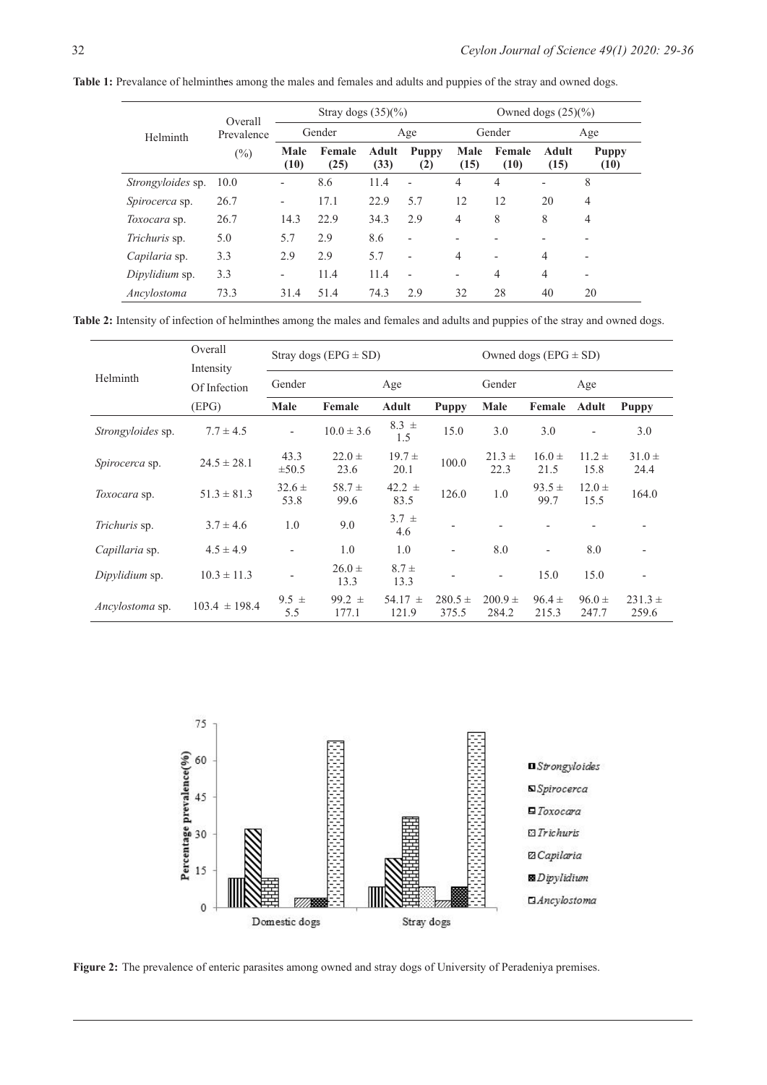| Table 1: Prevalance of helminthes among the males and females and adults and puppies of the stray and owned dogs. |  |
|-------------------------------------------------------------------------------------------------------------------|--|
|-------------------------------------------------------------------------------------------------------------------|--|

| Helminth              | Overall<br>Prevalence<br>$(\%)$ | Stray dogs $(35)(%$          |                |               |                          | Owned dogs $(25)(%$      |                          |                              |                          |
|-----------------------|---------------------------------|------------------------------|----------------|---------------|--------------------------|--------------------------|--------------------------|------------------------------|--------------------------|
|                       |                                 | Gender                       |                | Age           |                          | Gender                   |                          | Age                          |                          |
|                       |                                 | Male<br>(10)                 | Female<br>(25) | Adult<br>(33) | <b>Puppy</b><br>(2)      | Male<br>(15)             | Female<br>(10)           | <b>Adult</b><br>(15)         | <b>Puppy</b><br>(10)     |
| Strongyloides sp.     | 10.0                            | -                            | 8.6            | 11.4          | ÷,                       | 4                        | $\overline{4}$           | $\qquad \qquad \blacksquare$ | 8                        |
| <i>Spirocerca</i> sp. | 26.7                            | $\qquad \qquad \blacksquare$ | 17.1           | 22.9          | 5.7                      | 12                       | 12                       | 20                           | $\overline{4}$           |
| <i>Toxocara</i> sp.   | 26.7                            | 14.3                         | 22.9           | 34.3          | 2.9                      | 4                        | 8                        | 8                            | $\overline{4}$           |
| <i>Trichuris</i> sp.  | 5.0                             | 5.7                          | 2.9            | 8.6           | ۰                        |                          |                          |                              |                          |
| Capilaria sp.         | 3.3                             | 2.9                          | 2.9            | 5.7           | ۰                        | 4                        | $\overline{\phantom{a}}$ | $\overline{4}$               | $\overline{\phantom{0}}$ |
| Dipylidium sp.        | 3.3                             |                              | 11.4           | 11.4          | $\overline{\phantom{a}}$ | $\overline{\phantom{0}}$ | $\overline{4}$           | $\overline{4}$               | $\overline{\phantom{0}}$ |
| Ancylostoma           | 73.3                            | 31.4                         | 51.4           | 74.3          | 2.9                      | 32                       | 28                       | 40                           | 20                       |

**Table 2:** Intensity of infection of helminthes among the males and females and adults and puppies of the stray and owned dogs.

| Helminth                 | Overall<br>Intensity |                          | Stray dogs (EPG $\pm$ SD) | Owned dogs ( $EPG \pm SD$ ) |                      |                          |                          |                     |                      |  |
|--------------------------|----------------------|--------------------------|---------------------------|-----------------------------|----------------------|--------------------------|--------------------------|---------------------|----------------------|--|
|                          | Of Infection         | Gender<br>Age            |                           |                             |                      | Gender                   |                          |                     | Age                  |  |
|                          | (EPG)                | Male                     | <b>Adult</b><br>Female    |                             | <b>Puppy</b>         | Male<br>Female           |                          | <b>Adult</b>        | <b>Puppy</b>         |  |
| <i>Strongyloides</i> sp. | $7.7 \pm 4.5$        | $\overline{\phantom{0}}$ | $10.0 \pm 3.6$            | $8.3 \pm$<br>1.5            | 15.0                 | 3.0                      | 3.0                      | $\overline{a}$      | 3.0                  |  |
| <i>Spirocerca</i> sp.    | $24.5 \pm 28.1$      | 43.3<br>$\pm 50.5$       | $22.0 \pm$<br>23.6        | $19.7 \pm$<br>20.1          | 100.0                | $21.3 \pm$<br>22.3       | $16.0 \pm$<br>21.5       | $11.2 \pm$<br>15.8  | $31.0 \pm$<br>24.4   |  |
| Toxocara sp.             | $51.3 \pm 81.3$      | $32.6 \pm$<br>53.8       | $58.7 \pm$<br>99.6        | $42.2 \pm$<br>83.5          | 126.0                | 1.0                      | $93.5 \pm$<br>99.7       | $12.0 \pm$<br>15.5  | 164.0                |  |
| <i>Trichuris</i> sp.     | $3.7 \pm 4.6$        | 1.0                      | 9.0                       | $3.7 \pm$<br>4.6            | ٠                    |                          |                          |                     |                      |  |
| Capillaria sp.           | $4.5 \pm 4.9$        | $\qquad \qquad -$        | 1.0                       | 1.0                         | -                    | 8.0                      | $\overline{\phantom{a}}$ | 8.0                 |                      |  |
| Dipylidium sp.           | $10.3 \pm 11.3$      |                          | $26.0 \pm$<br>13.3        | $8.7 \pm$<br>13.3           |                      | $\overline{\phantom{a}}$ | 15.0                     | 15.0                |                      |  |
| <i>Ancylostoma</i> sp.   | $103.4 \pm 198.4$    | $9.5 \pm$<br>5.5         | $99.2 \pm$<br>177.1       | 54.17 $\pm$<br>121.9        | $280.5 \pm$<br>375.5 | $200.9 +$<br>284.2       | $96.4 \pm$<br>215.3      | $96.0 \pm$<br>247.7 | $231.3 \pm$<br>259.6 |  |



**Figure 2:** The prevalence of enteric parasites among owned and stray dogs of University of Peradeniya premises.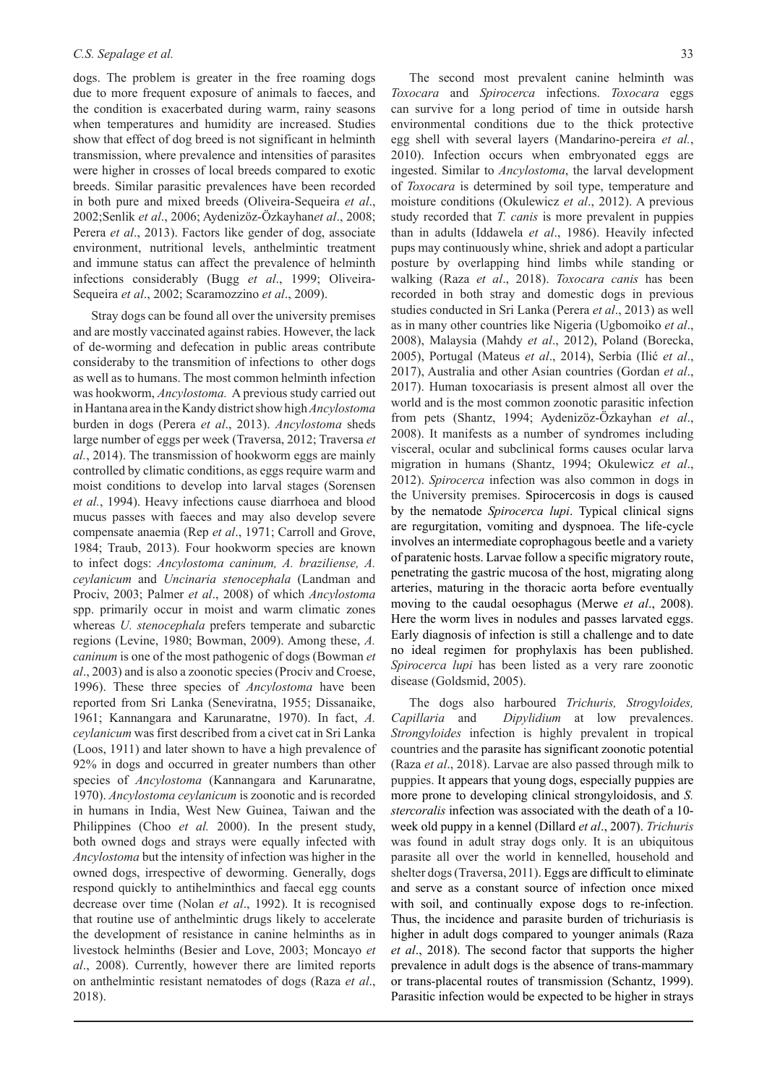dogs. The problem is greater in the free roaming dogs due to more frequent exposure of animals to faeces, and the condition is exacerbated during warm, rainy seasons when temperatures and humidity are increased. Studies show that effect of dog breed is not significant in helminth transmission, where prevalence and intensities of parasites were higher in crosses of local breeds compared to exotic breeds. Similar parasitic prevalences have been recorded in both pure and mixed breeds (Oliveira-Sequeira *et al*., 2002;Senlik *et al*., 2006; Aydenizöz-Özkayhan*et al*., 2008; Perera *et al*., 2013). Factors like gender of dog, associate environment, nutritional levels, anthelmintic treatment and immune status can affect the prevalence of helminth infections considerably (Bugg *et al*., 1999; Oliveira-Sequeira *et al*., 2002; Scaramozzino *et al*., 2009).

Stray dogs can be found all over the university premises and are mostly vaccinated against rabies. However, the lack of de-worming and defecation in public areas contribute consideraby to the transmition of infections to other dogs as well as to humans. The most common helminth infection was hookworm, *Ancylostoma.* A previous study carried out in Hantana area in the Kandy district show high *Ancylostoma* burden in dogs (Perera *et al*., 2013). *Ancylostoma* sheds large number of eggs per week (Traversa, 2012; Traversa *et al.*, 2014). The transmission of hookworm eggs are mainly controlled by climatic conditions, as eggs require warm and moist conditions to develop into larval stages (Sorensen *et al.*, 1994). Heavy infections cause diarrhoea and blood mucus passes with faeces and may also develop severe compensate anaemia (Rep *et al*., 1971; Carroll and Grove, 1984; Traub, 2013). Four hookworm species are known to infect dogs: *Ancylostoma caninum, A. braziliense, A. ceylanicum* and *Uncinaria stenocephala* (Landman and Prociv, 2003; Palmer *et al*., 2008) of which *Ancylostoma* spp. primarily occur in moist and warm climatic zones whereas *U. stenocephala* prefers temperate and subarctic regions (Levine, 1980; Bowman, 2009). Among these, *A. caninum* is one of the most pathogenic of dogs (Bowman *et al*., 2003) and is also a zoonotic species (Prociv and Croese, 1996). These three species of *Ancylostoma* have been reported from Sri Lanka (Seneviratna, 1955; Dissanaike, 1961; Kannangara and Karunaratne, 1970). In fact, *A. ceylanicum* was first described from a civet cat in Sri Lanka (Loos, 1911) and later shown to have a high prevalence of 92% in dogs and occurred in greater numbers than other species of *Ancylostoma* (Kannangara and Karunaratne, 1970). *Ancylostoma ceylanicum* is zoonotic and is recorded in humans in India, West New Guinea, Taiwan and the Philippines (Choo *et al.* 2000). In the present study, both owned dogs and strays were equally infected with *Ancylostoma* but the intensity of infection was higher in the owned dogs, irrespective of deworming. Generally, dogs respond quickly to antihelminthics and faecal egg counts decrease over time (Nolan *et al*., 1992). It is recognised that routine use of anthelmintic drugs likely to accelerate the development of resistance in canine helminths as in livestock helminths (Besier and Love, 2003; Moncayo *et al*., 2008). Currently, however there are limited reports on anthelmintic resistant nematodes of dogs (Raza *et al*., 2018).

The second most prevalent canine helminth was *Toxocara* and *Spirocerca* infections. *Toxocara* eggs can survive for a long period of time in outside harsh environmental conditions due to the thick protective egg shell with several layers (Mandarino-pereira *et al.*, 2010). Infection occurs when embryonated eggs are ingested. Similar to *Ancylostoma*, the larval development of *Toxocara* is determined by soil type, temperature and moisture conditions (Okulewicz *et al*., 2012). A previous study recorded that *T. canis* is more prevalent in puppies than in adults (Iddawela *et al*., 1986). Heavily infected pups may continuously whine, shriek and adopt a particular posture by overlapping hind limbs while standing or walking (Raza *et al*., 2018). *Toxocara canis* has been recorded in both stray and domestic dogs in previous studies conducted in Sri Lanka (Perera *et al*., 2013) as well as in many other countries like Nigeria (Ugbomoiko *et al*., 2008), Malaysia (Mahdy *et al*., 2012), Poland (Borecka, 2005), Portugal (Mateus *et al*., 2014), Serbia (Ilić *et al*., 2017), Australia and other Asian countries (Gordan *et al*., 2017). Human toxocariasis is present almost all over the world and is the most common zoonotic parasitic infection from pets (Shantz, 1994; Aydenizöz-Özkayhan *et al*., 2008). It manifests as a number of syndromes including visceral, ocular and subclinical forms causes ocular larva migration in humans (Shantz, 1994; Okulewicz *et al*., 2012). *Spirocerca* infection was also common in dogs in the University premises. Spirocercosis in dogs is caused by the nematode *Spirocerca lupi*. Typical clinical signs are regurgitation, vomiting and dyspnoea. The life-cycle involves an intermediate coprophagous beetle and a variety of paratenic hosts. Larvae follow a specific migratory route, penetrating the gastric mucosa of the host, migrating along arteries, maturing in the thoracic aorta before eventually moving to the caudal oesophagus (Merwe *et al*., 2008). Here the worm lives in nodules and passes larvated eggs. Early diagnosis of infection is still a challenge and to date no ideal regimen for prophylaxis has been published. *Spirocerca lupi* has been listed as a very rare zoonotic disease (Goldsmid, 2005).

The dogs also harboured *Trichuris, Strogyloides, Capillaria* and *Dipylidium* at low prevalences. *Strongyloides* infection is highly prevalent in tropical countries and the parasite has significant zoonotic potential (Raza *et al*., 2018). Larvae are also passed through milk to puppies. It appears that young dogs, especially puppies are more prone to developing clinical strongyloidosis, and *S. stercoralis* infection was associated with the death of a 10 week old puppy in a kennel (Dillard *et al*., 2007). *Trichuris* was found in adult stray dogs only. It is an ubiquitous parasite all over the world in kennelled, household and shelter dogs (Traversa, 2011). Eggs are difficult to eliminate and serve as a constant source of infection once mixed with soil, and continually expose dogs to re-infection. Thus, the incidence and parasite burden of trichuriasis is higher in adult dogs compared to younger animals (Raza *et al*., 2018). The second factor that supports the higher prevalence in adult dogs is the absence of trans-mammary or trans-placental routes of transmission (Schantz, 1999). Parasitic infection would be expected to be higher in strays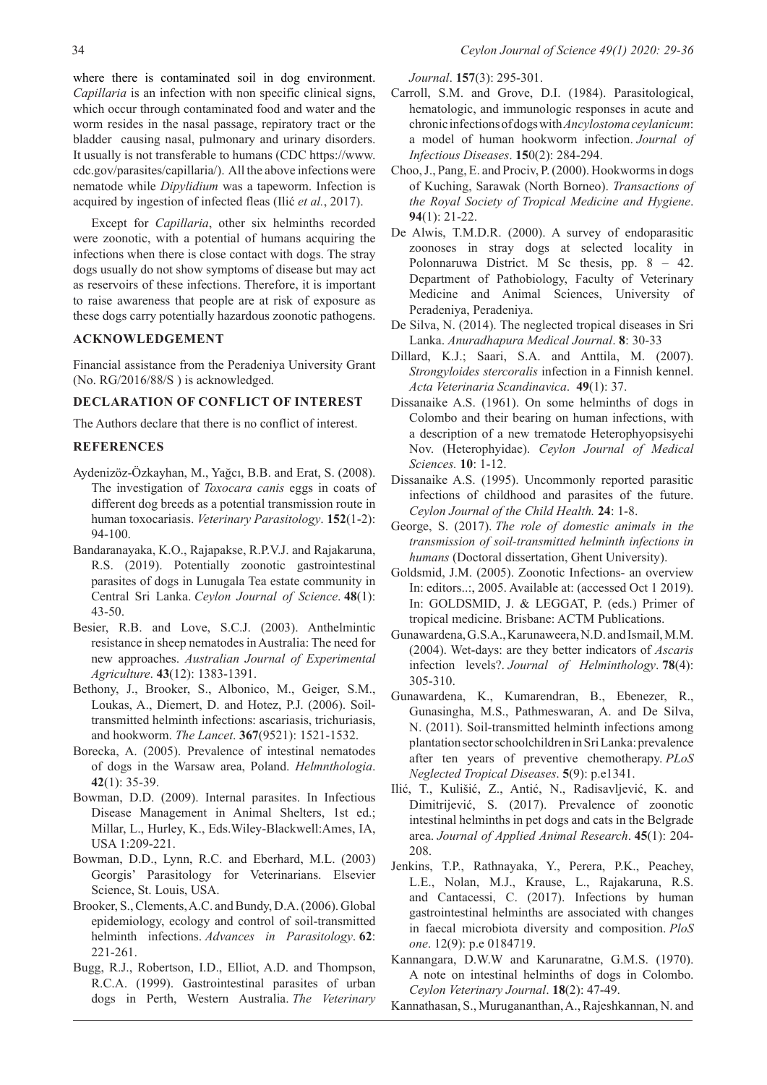where there is contaminated soil in dog environment. *Capillaria* is an infection with non specific clinical signs, which occur through contaminated food and water and the worm resides in the nasal passage, repiratory tract or the bladder causing nasal, pulmonary and urinary disorders. It usually is not transferable to humans (CDC https://www. cdc.gov/parasites/capillaria/). All the above infections were nematode while *Dipylidium* was a tapeworm. Infection is acquired by ingestion of infected fleas (Ilić *et al.*, 2017).

Except for *Capillaria*, other six helminths recorded were zoonotic, with a potential of humans acquiring the infections when there is close contact with dogs. The stray dogs usually do not show symptoms of disease but may act as reservoirs of these infections. Therefore, it is important to raise awareness that people are at risk of exposure as these dogs carry potentially hazardous zoonotic pathogens.

#### **ACKNOWLEDGEMENT**

Financial assistance from the Peradeniya University Grant (No. RG/2016/88/S ) is acknowledged.

### **DECLARATION OF CONFLICT OF INTEREST**

The Authors declare that there is no conflict of interest.

#### **REFERENCES**

- Aydenizöz-Özkayhan, M., Yağcı, B.B. and Erat, S. (2008). The investigation of *Toxocara canis* eggs in coats of different dog breeds as a potential transmission route in human toxocariasis. *Veterinary Parasitology*. **152**(1-2): 94-100.
- Bandaranayaka, K.O., Rajapakse, R.P.V.J. and Rajakaruna, R.S. (2019). Potentially zoonotic gastrointestinal parasites of dogs in Lunugala Tea estate community in Central Sri Lanka. *Ceylon Journal of Science*. **48**(1): 43-50.
- Besier, R.B. and Love, S.C.J. (2003). Anthelmintic resistance in sheep nematodes in Australia: The need for new approaches. *Australian Journal of Experimental Agriculture*. **43**(12): 1383-1391.
- Bethony, J., Brooker, S., Albonico, M., Geiger, S.M., Loukas, A., Diemert, D. and Hotez, P.J. (2006). Soiltransmitted helminth infections: ascariasis, trichuriasis, and hookworm. *The Lancet*. **367**(9521): 1521-1532.
- Borecka, A. (2005). Prevalence of intestinal nematodes of dogs in the Warsaw area, Poland. *Helmnthologia*. **42**(1): 35-39.
- Bowman, D.D. (2009). Internal parasites. In Infectious Disease Management in Animal Shelters, 1st ed.; Millar, L., Hurley, K., Eds.Wiley-Blackwell:Ames, IA, USA 1:209-221.
- Bowman, D.D., Lynn, R.C. and Eberhard, M.L. (2003) Georgis' Parasitology for Veterinarians. Elsevier Science, St. Louis, USA.
- Brooker, S., Clements, A.C. and Bundy, D.A. (2006). Global epidemiology, ecology and control of soil-transmitted helminth infections. *Advances in Parasitology*. **62**: 221-261.
- Bugg, R.J., Robertson, I.D., Elliot, A.D. and Thompson, R.C.A. (1999). Gastrointestinal parasites of urban dogs in Perth, Western Australia. *The Veterinary*

*Journal*. **157**(3): 295-301.

- Carroll, S.M. and Grove, D.I. (1984). Parasitological, hematologic, and immunologic responses in acute and chronic infections of dogs with *Ancylostoma ceylanicum*: a model of human hookworm infection. *Journal of Infectious Diseases*. **15**0(2): 284-294.
- Choo, J., Pang, E. and Prociv, P. (2000). Hookworms in dogs of Kuching, Sarawak (North Borneo). *Transactions of the Royal Society of Tropical Medicine and Hygiene*. **94**(1): 21-22.
- De Alwis, T.M.D.R. (2000). A survey of endoparasitic zoonoses in stray dogs at selected locality in Polonnaruwa District. M Sc thesis, pp. 8 – 42. Department of Pathobiology, Faculty of Veterinary Medicine and Animal Sciences, University of Peradeniya, Peradeniya.
- De Silva, N. (2014). The neglected tropical diseases in Sri Lanka. *Anuradhapura Medical Journal*. **8**: 30-33
- Dillard, K.J.; Saari, S.A. and Anttila, M. (2007). *Strongyloides stercoralis* infection in a Finnish kennel. *Acta Veterinaria Scandinavica*. **49**(1): 37.
- Dissanaike A.S. (1961). On some helminths of dogs in Colombo and their bearing on human infections, with a description of a new trematode Heterophyopsisyehi Nov. (Heterophyidae). *Ceylon Journal of Medical Sciences.* **10**: 1-12.
- Dissanaike A.S. (1995). Uncommonly reported parasitic infections of childhood and parasites of the future. *Ceylon Journal of the Child Health.* **24**: 1-8.
- George, S. (2017). *The role of domestic animals in the transmission of soil-transmitted helminth infections in humans* (Doctoral dissertation, Ghent University).
- Goldsmid, J.M. (2005). Zoonotic Infections- an overview In: editors..:, 2005. Available at: (accessed Oct 1 2019). In: GOLDSMID, J. & LEGGAT, P. (eds.) Primer of tropical medicine. Brisbane: ACTM Publications.
- Gunawardena, G.S.A., Karunaweera, N.D. and Ismail, M.M. (2004). Wet-days: are they better indicators of *Ascaris* infection levels?. *Journal of Helminthology*. **78**(4): 305-310.
- Gunawardena, K., Kumarendran, B., Ebenezer, R., Gunasingha, M.S., Pathmeswaran, A. and De Silva, N. (2011). Soil-transmitted helminth infections among plantation sector schoolchildren in Sri Lanka: prevalence after ten years of preventive chemotherapy. *PLoS Neglected Tropical Diseases*. **5**(9): p.e1341.
- Ilić, T., Kulišić, Z., Antić, N., Radisavljević, K. and Dimitrijević, S. (2017). Prevalence of zoonotic intestinal helminths in pet dogs and cats in the Belgrade area. *Journal of Applied Animal Research*. **45**(1): 204- 208.
- Jenkins, T.P., Rathnayaka, Y., Perera, P.K., Peachey, L.E., Nolan, M.J., Krause, L., Rajakaruna, R.S. and Cantacessi, C. (2017). Infections by human gastrointestinal helminths are associated with changes in faecal microbiota diversity and composition. *PloS one*. 12(9): p.e 0184719.
- Kannangara, D.W.W and Karunaratne, G.M.S. (1970). A note on intestinal helminths of dogs in Colombo. *Ceylon Veterinary Journal*. **18**(2): 47-49.
- Kannathasan, S., Murugananthan, A., Rajeshkannan, N. and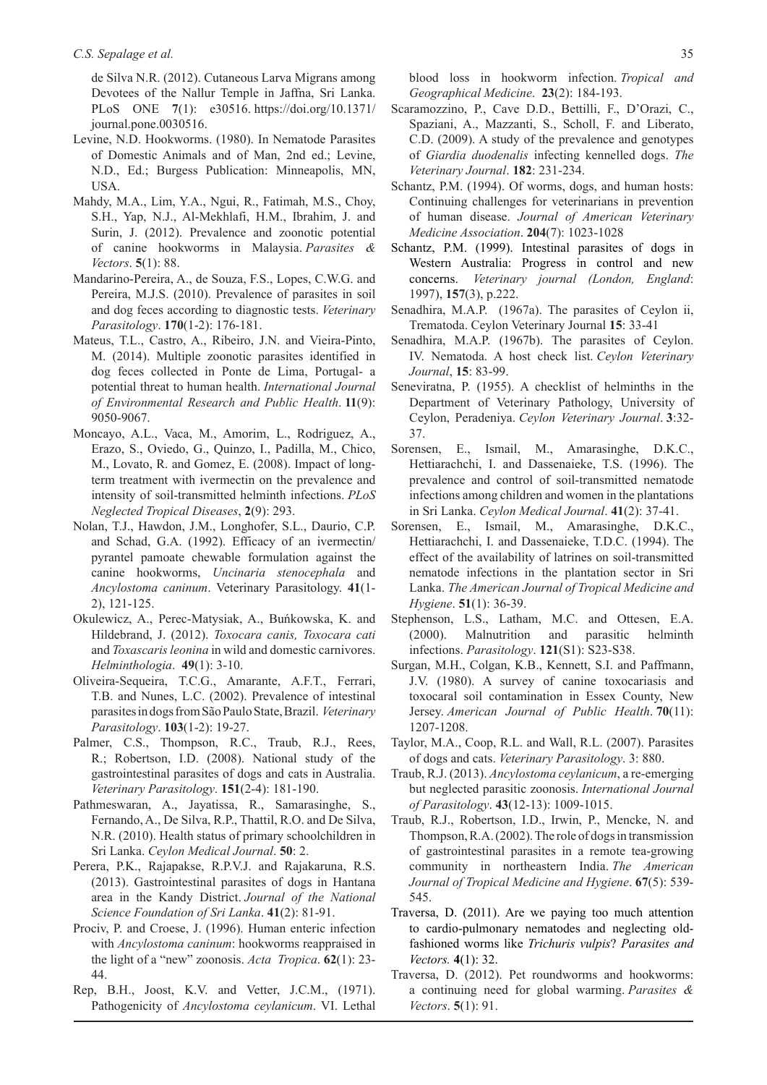de Silva N.R. (2012). Cutaneous Larva Migrans among Devotees of the Nallur Temple in Jaffna, Sri Lanka. PLoS ONE **7**(1): e30516. https://doi.org/10.1371/ journal.pone.0030516.

- Levine, N.D. Hookworms. (1980). In Nematode Parasites of Domestic Animals and of Man, 2nd ed.; Levine, N.D., Ed.; Burgess Publication: Minneapolis, MN, USA.
- Mahdy, M.A., Lim, Y.A., Ngui, R., Fatimah, M.S., Choy, S.H., Yap, N.J., Al-Mekhlafi, H.M., Ibrahim, J. and Surin, J. (2012). Prevalence and zoonotic potential of canine hookworms in Malaysia. *Parasites & Vectors*. **5**(1): 88.
- Mandarino-Pereira, A., de Souza, F.S., Lopes, C.W.G. and Pereira, M.J.S. (2010). Prevalence of parasites in soil and dog feces according to diagnostic tests. *Veterinary Parasitology*. **170**(1-2): 176-181.
- Mateus, T.L., Castro, A., Ribeiro, J.N. and Vieira-Pinto, M. (2014). Multiple zoonotic parasites identified in dog feces collected in Ponte de Lima, Portugal- a potential threat to human health. *International Journal of Environmental Research and Public Health*. **11**(9): 9050-9067.
- Moncayo, A.L., Vaca, M., Amorim, L., Rodriguez, A., Erazo, S., Oviedo, G., Quinzo, I., Padilla, M., Chico, M., Lovato, R. and Gomez, E. (2008). Impact of longterm treatment with ivermectin on the prevalence and intensity of soil-transmitted helminth infections. *PLoS Neglected Tropical Diseases*, **2**(9): 293.
- Nolan, T.J., Hawdon, J.M., Longhofer, S.L., Daurio, C.P. and Schad, G.A. (1992). Efficacy of an ivermectin/ pyrantel pamoate chewable formulation against the canine hookworms, *Uncinaria stenocephala* and *Ancylostoma caninum*. Veterinary Parasitology. **41**(1- 2), 121-125.
- Okulewicz, A., Perec-Matysiak, A., Buńkowska, K. and Hildebrand, J. (2012). *Toxocara canis, Toxocara cati*  and *Toxascaris leonina* in wild and domestic carnivores. *Helminthologia*. **49**(1): 3-10.
- Oliveira-Sequeira, T.C.G., Amarante, A.F.T., Ferrari, T.B. and Nunes, L.C. (2002). Prevalence of intestinal parasites in dogs from São Paulo State, Brazil. *Veterinary Parasitology*. **103**(1-2): 19-27.
- Palmer, C.S., Thompson, R.C., Traub, R.J., Rees, R.; Robertson, I.D. (2008). National study of the gastrointestinal parasites of dogs and cats in Australia. *Veterinary Parasitology*. **151**(2-4): 181-190.
- Pathmeswaran, A., Jayatissa, R., Samarasinghe, S., Fernando, A., De Silva, R.P., Thattil, R.O. and De Silva, N.R. (2010). Health status of primary schoolchildren in Sri Lanka. *Ceylon Medical Journal*. **50**: 2.
- Perera, P.K., Rajapakse, R.P.V.J. and Rajakaruna, R.S. (2013). Gastrointestinal parasites of dogs in Hantana area in the Kandy District. *Journal of the National Science Foundation of Sri Lanka*. **41**(2): 81-91.
- Prociv, P. and Croese, J. (1996). Human enteric infection with *Ancylostoma caninum*: hookworms reappraised in the light of a "new" zoonosis. *Acta Tropica*. **62**(1): 23- 44.
- Rep, B.H., Joost, K.V. and Vetter, J.C.M., (1971). Pathogenicity of *Ancylostoma ceylanicum*. VI. Lethal

blood loss in hookworm infection. *Tropical and Geographical Medicine*. **23**(2): 184-193.

- Scaramozzino, P., Cave D.D., Bettilli, F., D'Orazi, C., Spaziani, A., Mazzanti, S., Scholl, F. and Liberato, C.D. (2009). A study of the prevalence and genotypes of *Giardia duodenalis* infecting kennelled dogs. *The Veterinary Journal*. **182**: 231-234.
- Schantz, P.M. (1994). Of worms, dogs, and human hosts: Continuing challenges for veterinarians in prevention of human disease. *Journal of American Veterinary Medicine Association*. **204**(7): 1023-1028
- Schantz, P.M. (1999). Intestinal parasites of dogs in Western Australia: Progress in control and new concerns. *Veterinary journal (London, England*: 1997), **157**(3), p.222.
- Senadhira, M.A.P. (1967a). The parasites of Ceylon ii, Trematoda. Ceylon Veterinary Journal **15**: 33-41
- Senadhira, M.A.P. (1967b). The parasites of Ceylon. IV. Nematoda. A host check list. *Ceylon Veterinary Journal*, **15**: 83-99.
- Seneviratna, P. (1955). A checklist of helminths in the Department of Veterinary Pathology, University of Ceylon, Peradeniya. *Ceylon Veterinary Journal*. **3**:32- 37.
- Sorensen, E., Ismail, M., Amarasinghe, D.K.C., Hettiarachchi, I. and Dassenaieke, T.S. (1996). The prevalence and control of soil-transmitted nematode infections among children and women in the plantations in Sri Lanka. *Ceylon Medical Journal*. **41**(2): 37-41.
- Sorensen, E., Ismail, M., Amarasinghe, D.K.C., Hettiarachchi, I. and Dassenaieke, T.D.C. (1994). The effect of the availability of latrines on soil-transmitted nematode infections in the plantation sector in Sri Lanka. *The American Journal of Tropical Medicine and Hygiene*. **51**(1): 36-39.
- Stephenson, L.S., Latham, M.C. and Ottesen, E.A. (2000). Malnutrition and parasitic helminth infections. *Parasitology*. **121**(S1): S23-S38.
- Surgan, M.H., Colgan, K.B., Kennett, S.I. and Paffmann, J.V. (1980). A survey of canine toxocariasis and toxocaral soil contamination in Essex County, New Jersey. *American Journal of Public Health*. **70**(11): 1207-1208.
- Taylor, M.A., Coop, R.L. and Wall, R.L. (2007). Parasites of dogs and cats. *Veterinary Parasitology*. 3: 880.
- Traub, R.J. (2013). *Ancylostoma ceylanicum*, a re-emerging but neglected parasitic zoonosis. *International Journal of Parasitology*. **43**(12-13): 1009-1015.
- Traub, R.J., Robertson, I.D., Irwin, P., Mencke, N. and Thompson, R.A. (2002). The role of dogs in transmission of gastrointestinal parasites in a remote tea-growing community in northeastern India. *The American Journal of Tropical Medicine and Hygiene*. **67**(5): 539- 545.
- Traversa, D. (2011). Are we paying too much attention to cardio-pulmonary nematodes and neglecting oldfashioned worms like *Trichuris vulpis*? *Parasites and Vectors.* **4**(1): 32.
- Traversa, D. (2012). Pet roundworms and hookworms: a continuing need for global warming. *Parasites & Vectors*. **5**(1): 91.